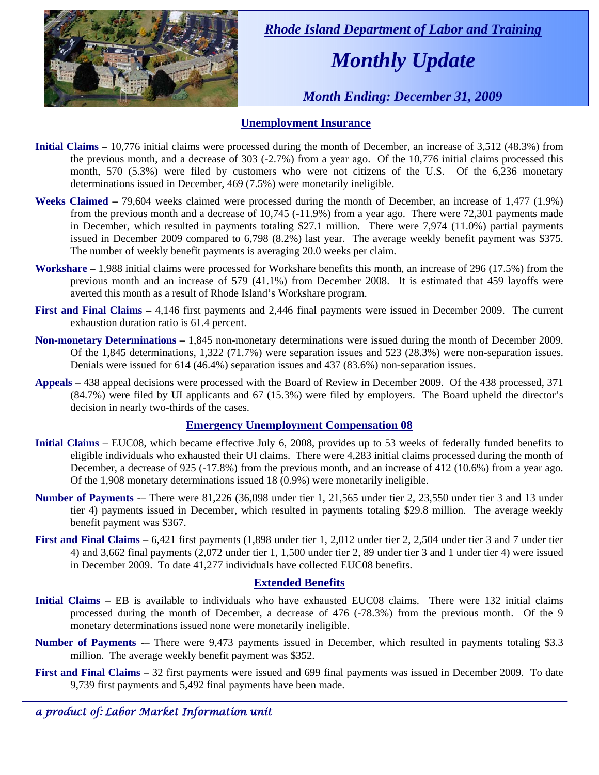

 *Rhode Island Department of Labor and Training* 

# *Monthly Update*

 *Month Ending: December 31, 2009* 

### **Unemployment Insurance**

- **Initial Claims** 10,776 initial claims were processed during the month of December, an increase of 3,512 (48.3%) from the previous month, and a decrease of 303 (-2.7%) from a year ago. Of the 10,776 initial claims processed this month, 570 (5.3%) were filed by customers who were not citizens of the U.S. Of the 6,236 monetary determinations issued in December, 469 (7.5%) were monetarily ineligible.
- **Weeks Claimed** 79,604 weeks claimed were processed during the month of December, an increase of 1,477 (1.9%) from the previous month and a decrease of 10,745 (-11.9%) from a year ago. There were 72,301 payments made in December, which resulted in payments totaling \$27.1 million. There were 7,974 (11.0%) partial payments issued in December 2009 compared to 6,798 (8.2%) last year. The average weekly benefit payment was \$375. The number of weekly benefit payments is averaging 20.0 weeks per claim.
- **Workshare –** 1,988 initial claims were processed for Workshare benefits this month, an increase of 296 (17.5%) from the previous month and an increase of 579 (41.1%) from December 2008. It is estimated that 459 layoffs were averted this month as a result of Rhode Island's Workshare program.
- **First and Final Claims –** 4,146 first payments and 2,446 final payments were issued in December 2009. The current exhaustion duration ratio is 61.4 percent.
- **Non-monetary Determinations –** 1,845 non-monetary determinations were issued during the month of December 2009. Of the 1,845 determinations, 1,322 (71.7%) were separation issues and 523 (28.3%) were non-separation issues. Denials were issued for 614 (46.4%) separation issues and 437 (83.6%) non-separation issues.
- **Appeals** 438 appeal decisions were processed with the Board of Review in December 2009. Of the 438 processed, 371 (84.7%) were filed by UI applicants and 67 (15.3%) were filed by employers. The Board upheld the director's decision in nearly two-thirds of the cases.

#### **Emergency Unemployment Compensation 08**

- **Initial Claims**  EUC08, which became effective July 6, 2008, provides up to 53 weeks of federally funded benefits to eligible individuals who exhausted their UI claims. There were 4,283 initial claims processed during the month of December, a decrease of 925 (-17.8%) from the previous month, and an increase of 412 (10.6%) from a year ago. Of the 1,908 monetary determinations issued 18 (0.9%) were monetarily ineligible.
- **Number of Payments** -– There were 81,226 (36,098 under tier 1, 21,565 under tier 2, 23,550 under tier 3 and 13 under tier 4) payments issued in December, which resulted in payments totaling \$29.8 million. The average weekly benefit payment was \$367.
- **First and Final Claims**  6,421 first payments (1,898 under tier 1, 2,012 under tier 2, 2,504 under tier 3 and 7 under tier 4) and 3,662 final payments (2,072 under tier 1, 1,500 under tier 2, 89 under tier 3 and 1 under tier 4) were issued in December 2009. To date 41,277 individuals have collected EUC08 benefits.

#### **Extended Benefits**

- **Initial Claims**  EB is available to individuals who have exhausted EUC08 claims. There were 132 initial claims processed during the month of December, a decrease of 476 (-78.3%) from the previous month. Of the 9 monetary determinations issued none were monetarily ineligible.
- **Number of Payments** -– There were 9,473 payments issued in December, which resulted in payments totaling \$3.3 million. The average weekly benefit payment was \$352.
- **First and Final Claims**  32 first payments were issued and 699 final payments was issued in December 2009. To date 9,739 first payments and 5,492 final payments have been made.